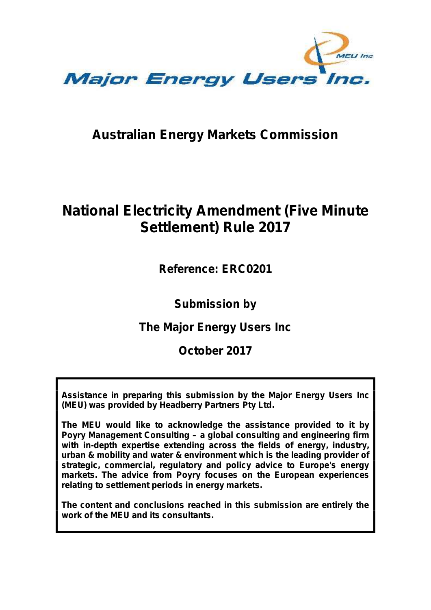

# **Australian Energy Markets Commission**

# **National Electricity Amendment (Five Minute Settlement) Rule 2017**

**Reference: ERC0201**

**Submission by**

**The Major Energy Users Inc**

**October 2017**

**Assistance in preparing this submission by the Major Energy Users Inc (MEU) was provided by Headberry Partners Pty Ltd.**

**with in-depth expertise extending across the fields of energy, industry, urban & mobility and water & environment which is the leading provider of strategic, commercial, regulatory and policy advice to Europe's energy markets. The advice from Poyry focuses on the European experiences relating to settlement periods in energy markets.**

**The content and conclusions reached in this submission are entirely the work of the MEU and its consultants.**

**The MEU would like to acknowledge the assistance provided to it by Poyry Management Consulting – a global consulting and engineering firm**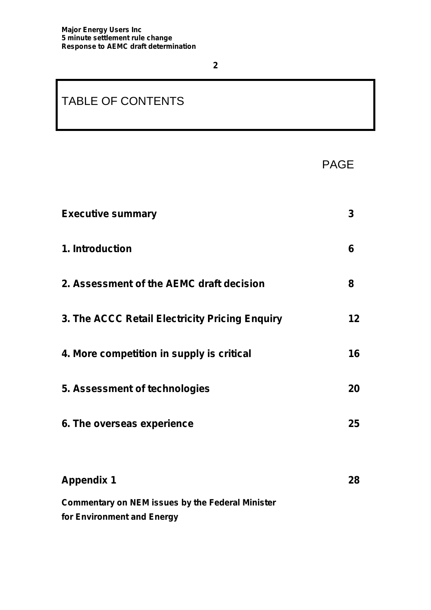# TABLE OF CONTENTS

PAGE

| <b>Executive summary</b>                                                              | 3  |
|---------------------------------------------------------------------------------------|----|
| 1. Introduction                                                                       | 6  |
| 2. Assessment of the AEMC draft decision                                              | 8  |
| 3. The ACCC Retail Electricity Pricing Enquiry                                        | 12 |
| 4. More competition in supply is critical                                             | 16 |
| 5. Assessment of technologies                                                         | 20 |
| 6. The overseas experience                                                            | 25 |
|                                                                                       |    |
| <b>Appendix 1</b>                                                                     | 28 |
| <b>Commentary on NEM issues by the Federal Minister</b><br>for Environment and Energy |    |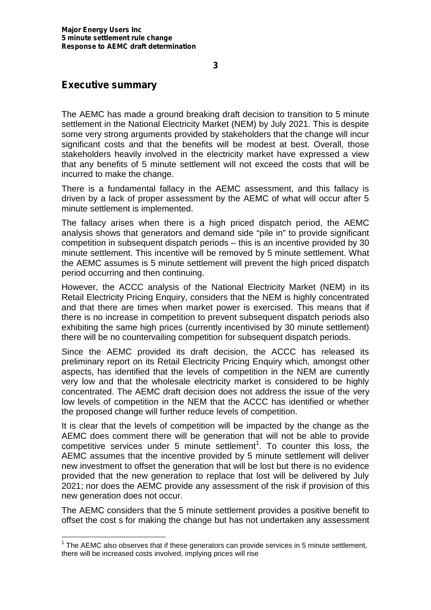### **Executive summary**

The AEMC has made a ground breaking draft decision to transition to 5 minute settlement in the National Electricity Market (NEM) by July 2021. This is despite some very strong arguments provided by stakeholders that the change will incur significant costs and that the benefits will be modest at best. Overall, those stakeholders heavily involved in the electricity market have expressed a view that any benefits of 5 minute settlement will not exceed the costs that will be incurred to make the change.

There is a fundamental fallacy in the AEMC assessment, and this fallacy is driven by a lack of proper assessment by the AEMC of what will occur after 5 minute settlement is implemented.

The fallacy arises when there is a high priced dispatch period, the AEMC analysis shows that generators and demand side "pile in" to provide significant competition in subsequent dispatch periods – this is an incentive provided by 30 minute settlement. This incentive will be removed by 5 minute settlement. What the AEMC assumes is 5 minute settlement will prevent the high priced dispatch period occurring and then continuing.

However, the ACCC analysis of the National Electricity Market (NEM) in its Retail Electricity Pricing Enquiry, considers that the NEM is highly concentrated and that there are times when market power is exercised. This means that if there is no increase in competition to prevent subsequent dispatch periods also exhibiting the same high prices (currently incentivised by 30 minute settlement) there will be no countervailing competition for subsequent dispatch periods.

Since the AEMC provided its draft decision, the ACCC has released its preliminary report on its Retail Electricity Pricing Enquiry which, amongst other aspects, has identified that the levels of competition in the NEM are currently very low and that the wholesale electricity market is considered to be highly concentrated. The AEMC draft decision does not address the issue of the very low levels of competition in the NEM that the ACCC has identified or whether the proposed change will further reduce levels of competition.

It is clear that the levels of competition will be impacted by the change as the AEMC does comment there will be generation that will not be able to provide competitive services under 5 minute settlement<sup>1</sup>. To counter this loss, the AEMC assumes that the incentive provided by 5 minute settlement will deliver new investment to offset the generation that will be lost but there is no evidence provided that the new generation to replace that lost will be delivered by July 2021; nor does the AEMC provide any assessment of the risk if provision of this new generation does not occur.

The AEMC considers that the 5 minute settlement provides a positive benefit to offset the cost s for making the change but has not undertaken any assessment

 $1$  The AEMC also observes that if these generators can provide services in 5 minute settlement, there will be increased costs involved, implying prices will rise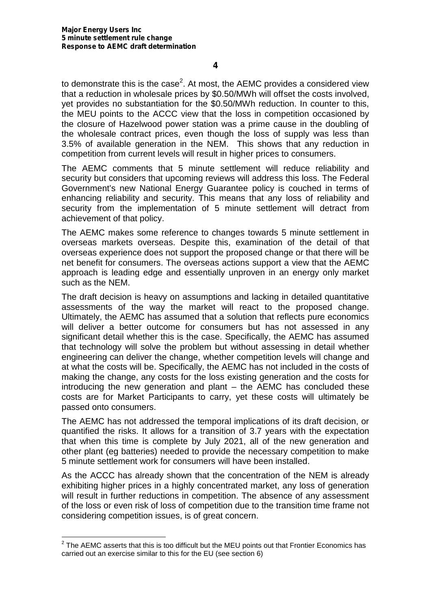to demonstrate this is the case<sup>2</sup>. At most, the AEMC provides a considered view that a reduction in wholesale prices by \$0.50/MWh will offset the costs involved, yet provides no substantiation for the \$0.50/MWh reduction. In counter to this, the MEU points to the ACCC view that the loss in competition occasioned by the closure of Hazelwood power station was a prime cause in the doubling of the wholesale contract prices, even though the loss of supply was less than 3.5% of available generation in the NEM. This shows that any reduction in competition from current levels will result in higher prices to consumers.

The AEMC comments that 5 minute settlement will reduce reliability and security but considers that upcoming reviews will address this loss. The Federal Government's new National Energy Guarantee policy is couched in terms of enhancing reliability and security. This means that any loss of reliability and security from the implementation of 5 minute settlement will detract from achievement of that policy.

The AEMC makes some reference to changes towards 5 minute settlement in overseas markets overseas. Despite this, examination of the detail of that overseas experience does not support the proposed change or that there will be net benefit for consumers. The overseas actions support a view that the AEMC approach is leading edge and essentially unproven in an energy only market such as the NEM.

The draft decision is heavy on assumptions and lacking in detailed quantitative assessments of the way the market will react to the proposed change. Ultimately, the AEMC has assumed that a solution that reflects pure economics will deliver a better outcome for consumers but has not assessed in any significant detail whether this is the case. Specifically, the AEMC has assumed that technology will solve the problem but without assessing in detail whether engineering can deliver the change, whether competition levels will change and at what the costs will be. Specifically, the AEMC has not included in the costs of making the change, any costs for the loss existing generation and the costs for introducing the new generation and plant – the AEMC has concluded these costs are for Market Participants to carry, yet these costs will ultimately be passed onto consumers.

The AEMC has not addressed the temporal implications of its draft decision, or quantified the risks. It allows for a transition of 3.7 years with the expectation that when this time is complete by July 2021, all of the new generation and other plant (eg batteries) needed to provide the necessary competition to make 5 minute settlement work for consumers will have been installed.

As the ACCC has already shown that the concentration of the NEM is already exhibiting higher prices in a highly concentrated market, any loss of generation will result in further reductions in competition. The absence of any assessment of the loss or even risk of loss of competition due to the transition time frame not considering competition issues, is of great concern.

 $2$  The AEMC asserts that this is too difficult but the MEU points out that Frontier Economics has carried out an exercise similar to this for the EU (see section 6)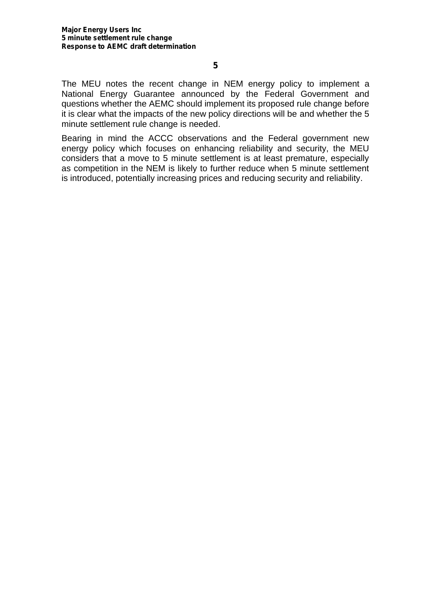The MEU notes the recent change in NEM energy policy to implement a National Energy Guarantee announced by the Federal Government and questions whether the AEMC should implement its proposed rule change before it is clear what the impacts of the new policy directions will be and whether the 5 minute settlement rule change is needed.

Bearing in mind the ACCC observations and the Federal government new energy policy which focuses on enhancing reliability and security, the MEU considers that a move to 5 minute settlement is at least premature, especially as competition in the NEM is likely to further reduce when 5 minute settlement is introduced, potentially increasing prices and reducing security and reliability.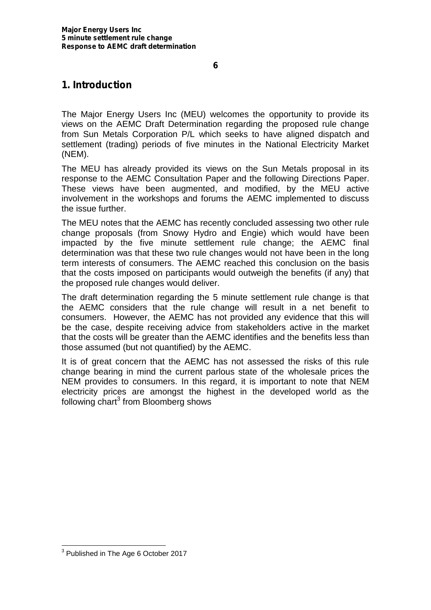### **1. Introduction**

The Major Energy Users Inc (MEU) welcomes the opportunity to provide its views on the AEMC Draft Determination regarding the proposed rule change from Sun Metals Corporation P/L which seeks to have aligned dispatch and settlement (trading) periods of five minutes in the National Electricity Market (NEM).

The MEU has already provided its views on the Sun Metals proposal in its response to the AEMC Consultation Paper and the following Directions Paper. These views have been augmented, and modified, by the MEU active involvement in the workshops and forums the AEMC implemented to discuss the issue further.

The MEU notes that the AEMC has recently concluded assessing two other rule change proposals (from Snowy Hydro and Engie) which would have been impacted by the five minute settlement rule change; the AEMC final determination was that these two rule changes would not have been in the long term interests of consumers. The AEMC reached this conclusion on the basis that the costs imposed on participants would outweigh the benefits (if any) that the proposed rule changes would deliver.

The draft determination regarding the 5 minute settlement rule change is that the AEMC considers that the rule change will result in a net benefit to consumers. However, the AEMC has not provided any evidence that this will be the case, despite receiving advice from stakeholders active in the market that the costs will be greater than the AEMC identifies and the benefits less than those assumed (but not quantified) by the AEMC.

It is of great concern that the AEMC has not assessed the risks of this rule change bearing in mind the current parlous state of the wholesale prices the NEM provides to consumers. In this regard, it is important to note that NEM electricity prices are amongst the highest in the developed world as the following chart<sup>3</sup> from Bloomberg shows

<sup>&</sup>lt;sup>3</sup> Published in The Age 6 October 2017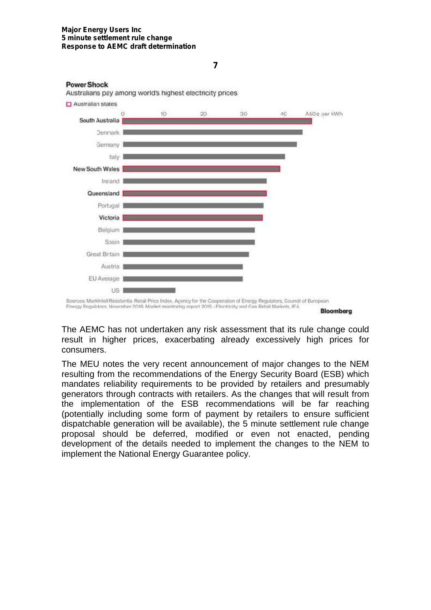#### **Major Energy Users Inc 5 minute settlement rule change Response to AEMC draft determination**

**Power Shock** 



**7**

**Bloomberg** 

The AEMC has not undertaken any risk assessment that its rule change could result in higher prices, exacerbating already excessively high prices for consumers.

The MEU notes the very recent announcement of major changes to the NEM resulting from the recommendations of the Energy Security Board (ESB) which mandates reliability requirements to be provided by retailers and presumably generators through contracts with retailers. As the changes that will result from the implementation of the ESB recommendations will be far reaching (potentially including some form of payment by retailers to ensure sufficient dispatchable generation will be available), the 5 minute settlement rule change proposal should be deferred, modified or even not enacted, pending development of the details needed to implement the changes to the NEM to implement the National Energy Guarantee policy.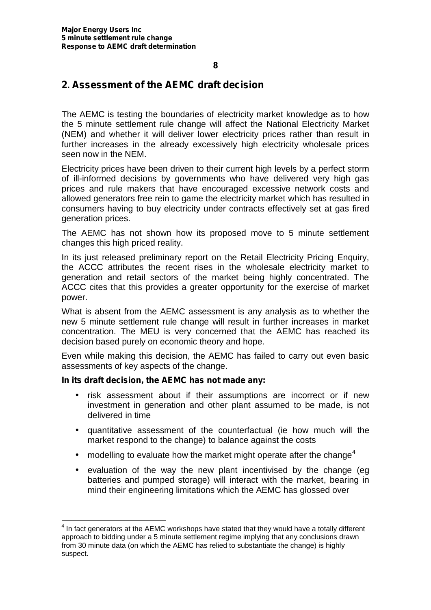### **2. Assessment of the AEMC draft decision**

The AEMC is testing the boundaries of electricity market knowledge as to how the 5 minute settlement rule change will affect the National Electricity Market (NEM) and whether it will deliver lower electricity prices rather than result in further increases in the already excessively high electricity wholesale prices seen now in the NEM.

Electricity prices have been driven to their current high levels by a perfect storm of ill-informed decisions by governments who have delivered very high gas prices and rule makers that have encouraged excessive network costs and allowed generators free rein to game the electricity market which has resulted in consumers having to buy electricity under contracts effectively set at gas fired generation prices.

The AEMC has not shown how its proposed move to 5 minute settlement changes this high priced reality.

In its just released preliminary report on the Retail Electricity Pricing Enquiry, the ACCC attributes the recent rises in the wholesale electricity market to generation and retail sectors of the market being highly concentrated. The ACCC cites that this provides a greater opportunity for the exercise of market power.

What is absent from the AEMC assessment is any analysis as to whether the new 5 minute settlement rule change will result in further increases in market concentration. The MEU is very concerned that the AEMC has reached its decision based purely on economic theory and hope.

Even while making this decision, the AEMC has failed to carry out even basic assessments of key aspects of the change.

#### **In its draft decision, the AEMC has not made any:**

- risk assessment about if their assumptions are incorrect or if new investment in generation and other plant assumed to be made, is not delivered in time
- quantitative assessment of the counterfactual (ie how much will the market respond to the change) to balance against the costs
- ) modelling to evaluate how the market might operate after the change<sup>4</sup>
- evaluation of the way the new plant incentivised by the change (eg batteries and pumped storage) will interact with the market, bearing in mind their engineering limitations which the AEMC has glossed over

 $^4$  In fact generators at the AEMC workshops have stated that they would have a totally different approach to bidding under a 5 minute settlement regime implying that any conclusions drawn from 30 minute data (on which the AEMC has relied to substantiate the change) is highly suspect.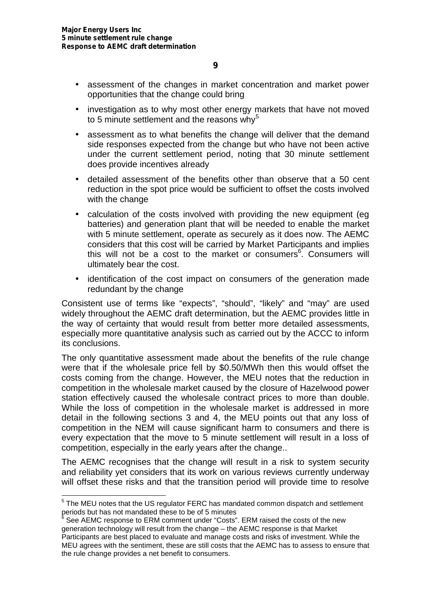- assessment of the changes in market concentration and market power opportunities that the change could bring
- investigation as to why most other energy markets that have not moved to 5 minute settlement and the reasons why<sup>5</sup>
- assessment as to what benefits the change will deliver that the demand side responses expected from the change but who have not been active under the current settlement period, noting that 30 minute settlement does provide incentives already
- detailed assessment of the benefits other than observe that a 50 cent reduction in the spot price would be sufficient to offset the costs involved with the change
- calculation of the costs involved with providing the new equipment (eg batteries) and generation plant that will be needed to enable the market with 5 minute settlement, operate as securely as it does now. The AEMC considers that this cost will be carried by Market Participants and implies this will not be a cost to the market or consumers<sup>6</sup>. Consumers will ultimately bear the cost.
- ) identification of the cost impact on consumers of the generation made redundant by the change

Consistent use of terms like "expects", "should", "likely" and "may" are used widely throughout the AEMC draft determination, but the AEMC provides little in the way of certainty that would result from better more detailed assessments, especially more quantitative analysis such as carried out by the ACCC to inform its conclusions.

The only quantitative assessment made about the benefits of the rule change were that if the wholesale price fell by \$0.50/MWh then this would offset the costs coming from the change. However, the MEU notes that the reduction in competition in the wholesale market caused by the closure of Hazelwood power station effectively caused the wholesale contract prices to more than double. While the loss of competition in the wholesale market is addressed in more detail in the following sections 3 and 4, the MEU points out that any loss of competition in the NEM will cause significant harm to consumers and there is every expectation that the move to 5 minute settlement will result in a loss of competition, especially in the early years after the change..

The AEMC recognises that the change will result in a risk to system security and reliability yet considers that its work on various reviews currently underway will offset these risks and that the transition period will provide time to resolve

<sup>&</sup>lt;sup>5</sup> The MEU notes that the US regulator FERC has mandated common dispatch and settlement periods but has not mandated these to be of 5 minutes

<sup>6</sup> See AEMC response to ERM comment under "Costs". ERM raised the costs of the new generation technology will result from the change – the AEMC response is that Market Participants are best placed to evaluate and manage costs and risks of investment. While the MEU agrees with the sentiment, these are still costs that the AEMC has to assess to ensure that the rule change provides a net benefit to consumers.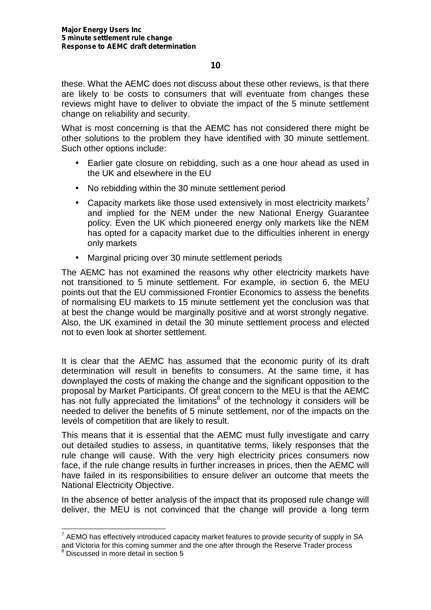these. What the AEMC does not discuss about these other reviews, is that there are likely to be costs to consumers that will eventuate from changes these reviews might have to deliver to obviate the impact of the 5 minute settlement change on reliability and security.

What is most concerning is that the AEMC has not considered there might be other solutions to the problem they have identified with 30 minute settlement. Such other options include:

- Earlier gate closure on rebidding, such as a one hour ahead as used in the UK and elsewhere in the EU
- No rebidding within the 30 minute settlement period
- Capacity markets like those used extensively in most electricity markets<sup>7</sup> and implied for the NEM under the new National Energy Guarantee policy. Even the UK which pioneered energy only markets like the NEM has opted for a capacity market due to the difficulties inherent in energy only markets
- Marginal pricing over 30 minute settlement periods

The AEMC has not examined the reasons why other electricity markets have not transitioned to 5 minute settlement. For example, in section 6, the MEU points out that the EU commissioned Frontier Economics to assess the benefits of normalising EU markets to 15 minute settlement yet the conclusion was that at best the change would be marginally positive and at worst strongly negative. Also, the UK examined in detail the 30 minute settlement process and elected not to even look at shorter settlement.

It is clear that the AEMC has assumed that the economic purity of its draft determination will result in benefits to consumers. At the same time, it has downplayed the costs of making the change and the significant opposition to the proposal by Market Participants. Of great concern to the MEU is that the AEMC has not fully appreciated the limitations<sup>8</sup> of the technology it considers will be needed to deliver the benefits of 5 minute settlement, nor of the impacts on the levels of competition that are likely to result.

This means that it is essential that the AEMC must fully investigate and carry out detailed studies to assess, in quantitative terms, likely responses that the rule change will cause. With the very high electricity prices consumers now face, if the rule change results in further increases in prices, then the AEMC will have failed in its responsibilities to ensure deliver an outcome that meets the National Electricity Objective.

In the absence of better analysis of the impact that its proposed rule change will deliver, the MEU is not convinced that the change will provide a long term

 $^7$  AEMO has effectively introduced capacity market features to provide security of supply in SA and Victoria for this coming summer and the one after through the Reserve Trader process

<sup>&</sup>lt;sup>8</sup> Discussed in more detail in section 5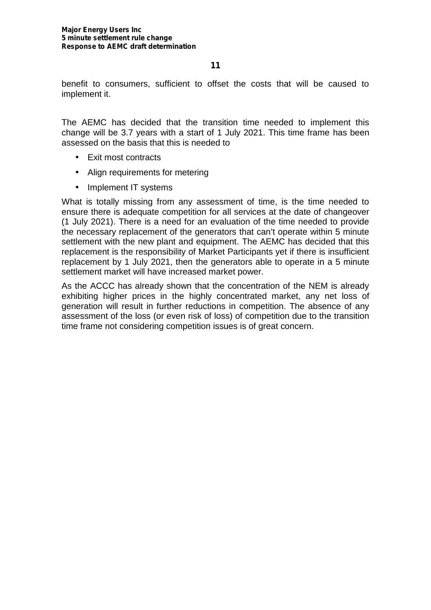benefit to consumers, sufficient to offset the costs that will be caused to implement it.

The AEMC has decided that the transition time needed to implement this change will be 3.7 years with a start of 1 July 2021. This time frame has been assessed on the basis that this is needed to

- **Exit most contracts**
- Align requirements for metering
- Implement IT systems

What is totally missing from any assessment of time, is the time needed to ensure there is adequate competition for all services at the date of changeover (1 July 2021). There is a need for an evaluation of the time needed to provide the necessary replacement of the generators that can't operate within 5 minute settlement with the new plant and equipment. The AEMC has decided that this replacement is the responsibility of Market Participants yet if there is insufficient replacement by 1 July 2021, then the generators able to operate in a 5 minute settlement market will have increased market power.

As the ACCC has already shown that the concentration of the NEM is already exhibiting higher prices in the highly concentrated market, any net loss of generation will result in further reductions in competition. The absence of any assessment of the loss (or even risk of loss) of competition due to the transition time frame not considering competition issues is of great concern.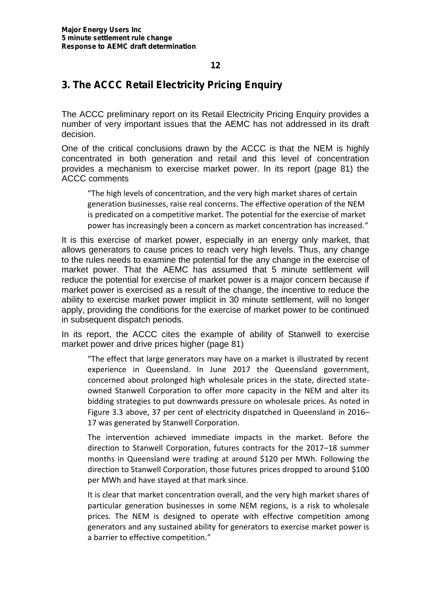### **3. The ACCC Retail Electricity Pricing Enquiry**

The ACCC preliminary report on its Retail Electricity Pricing Enquiry provides a number of very important issues that the AEMC has not addressed in its draft decision.

One of the critical conclusions drawn by the ACCC is that the NEM is highly concentrated in both generation and retail and this level of concentration provides a mechanism to exercise market power. In its report (page 81) the ACCC comments

"The high levels of concentration, and the very high market shares of certain generation businesses, raise real concerns. The effective operation of the NEM is predicated on a competitive market. The potential for the exercise of market power has increasingly been a concern as market concentration has increased."

It is this exercise of market power, especially in an energy only market, that allows generators to cause prices to reach very high levels. Thus, any change to the rules needs to examine the potential for the any change in the exercise of market power. That the AEMC has assumed that 5 minute settlement will reduce the potential for exercise of market power is a major concern because if market power is exercised as a result of the change, the incentive to reduce the ability to exercise market power implicit in 30 minute settlement, will no longer apply, providing the conditions for the exercise of market power to be continued in subsequent dispatch periods.

In its report, the ACCC cites the example of ability of Stanwell to exercise market power and drive prices higher (page 81)

"The effect that large generators may have on a market is illustrated by recent experience in Queensland. In June 2017 the Queensland government, concerned about prolonged high wholesale prices in the state, directed state owned Stanwell Corporation to offer more capacity in the NEM and alter its bidding strategies to put downwards pressure on wholesale prices. As noted in Figure 3.3 above, 37 per cent of electricity dispatched in Queensland in 2016– 17 was generated by Stanwell Corporation.

The intervention achieved immediate impacts in the market. Before the direction to Stanwell Corporation, futures contracts for the 2017–18 summer months in Queensland were trading at around \$120 per MWh. Following the direction to Stanwell Corporation, those futures prices dropped to around \$100 per MWh and have stayed at that mark since.

It is clear that market concentration overall, and the very high market shares of particular generation businesses in some NEM regions, is a risk to wholesale prices. The NEM is designed to operate with effective competition among generators and any sustained ability for generators to exercise market power is a barrier to effective competition."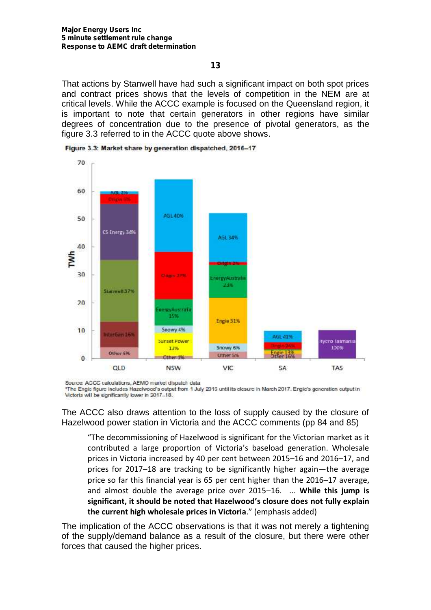That actions by Stanwell have had such a significant impact on both spot prices and contract prices shows that the levels of competition in the NEM are at critical levels. While the ACCC example is focused on the Queensland region, it is important to note that certain generators in other regions have similar degrees of concentration due to the presence of pivotal generators, as the figure 3.3 referred to in the ACCC quote above shows.



Figure 3.3: Market share by generation dispatched, 2016-17

Source: ACCC calculations. AEMO market dispatch data

\*The Engis figure includes Hazelwood's output from 1 July 2016 until its clesure in March 2017. Engic's generation cutput in Victoria will be significantly lower in 2017-18.

The ACCC also draws attention to the loss of supply caused by the closure of Hazelwood power station in Victoria and the ACCC comments (pp 84 and 85)

"The decommissioning of Hazelwood is significant for the Victorian market as it contributed a large proportion of Victoria's baseload generation. Wholesale prices in Victoria increased by 40 per cent between 2015–16 and 2016–17, and prices for 2017–18 are tracking to be significantly higher again—the average price so far this financial year is 65 per cent higher than the 2016–17 average, and almost double the average price over 2015–16. ... **While this jump is significant, it should be noted that Hazelwood's closure does not fully explain the current high wholesale prices in Victoria**." (emphasis added)

The implication of the ACCC observations is that it was not merely a tightening of the supply/demand balance as a result of the closure, but there were other forces that caused the higher prices.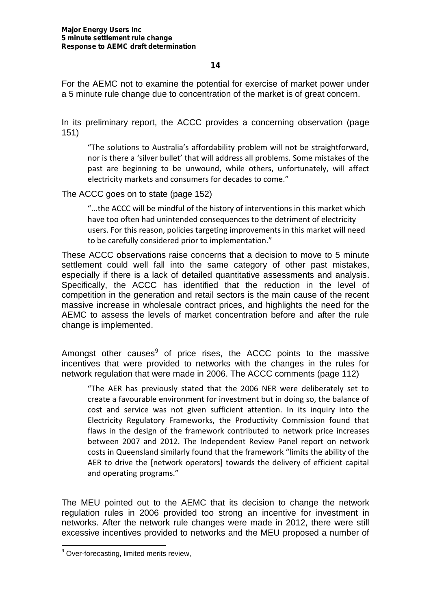For the AEMC not to examine the potential for exercise of market power under a 5 minute rule change due to concentration of the market is of great concern.

In its preliminary report, the ACCC provides a concerning observation (page 151)

"The solutions to Australia's affordability problem will not be straightforward, nor is there a 'silver bullet' that will address all problems. Some mistakes of the past are beginning to be unwound, while others, unfortunately, will affect electricity markets and consumers for decades to come."

The ACCC goes on to state (page 152)

"...the ACCC will be mindful of the history of interventions in this market which have too often had unintended consequences to the detriment of electricity users. For this reason, policies targeting improvements in this market will need to be carefully considered prior to implementation."

These ACCC observations raise concerns that a decision to move to 5 minute settlement could well fall into the same category of other past mistakes, especially if there is a lack of detailed quantitative assessments and analysis. Specifically, the ACCC has identified that the reduction in the level of competition in the generation and retail sectors is the main cause of the recent massive increase in wholesale contract prices, and highlights the need for the AEMC to assess the levels of market concentration before and after the rule change is implemented.

Amongst other causes $9$  of price rises, the ACCC points to the massive incentives that were provided to networks with the changes in the rules for network regulation that were made in 2006. The ACCC comments (page 112)

"The AER has previously stated that the 2006 NER were deliberately set to create a favourable environment for investment but in doing so, the balance of cost and service was not given sufficient attention. In its inquiry into the Electricity Regulatory Frameworks, the Productivity Commission found that flaws in the design of the framework contributed to network price increases between 2007 and 2012. The Independent Review Panel report on network costs in Queensland similarly found that the framework "limits the ability of the AER to drive the [network operators] towards the delivery of efficient capital and operating programs."

The MEU pointed out to the AEMC that its decision to change the network regulation rules in 2006 provided too strong an incentive for investment in networks. After the network rule changes were made in 2012, there were still excessive incentives provided to networks and the MEU proposed a number of

 $9$  Over-forecasting, limited merits review,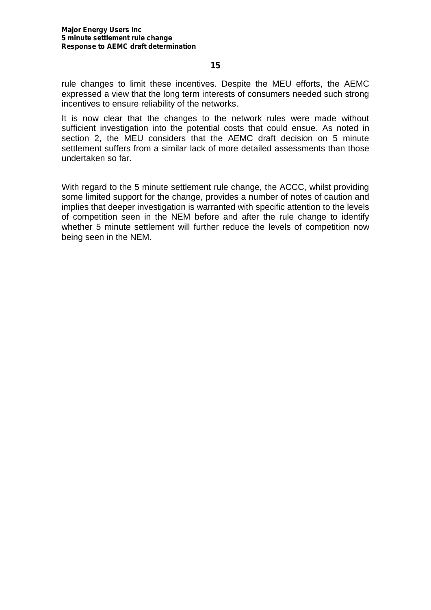rule changes to limit these incentives. Despite the MEU efforts, the AEMC expressed a view that the long term interests of consumers needed such strong incentives to ensure reliability of the networks.

It is now clear that the changes to the network rules were made without sufficient investigation into the potential costs that could ensue. As noted in section 2, the MEU considers that the AEMC draft decision on 5 minute settlement suffers from a similar lack of more detailed assessments than those undertaken so far.

With regard to the 5 minute settlement rule change, the ACCC, whilst providing some limited support for the change, provides a number of notes of caution and implies that deeper investigation is warranted with specific attention to the levels of competition seen in the NEM before and after the rule change to identify whether 5 minute settlement will further reduce the levels of competition now being seen in the NEM.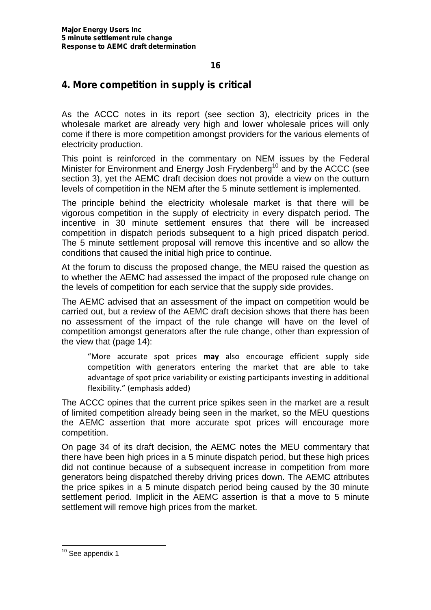### **4. More competition in supply is critical**

As the ACCC notes in its report (see section 3), electricity prices in the wholesale market are already very high and lower wholesale prices will only come if there is more competition amongst providers for the various elements of electricity production.

This point is reinforced in the commentary on NEM issues by the Federal Minister for Environment and Energy Josh Frydenberg<sup>10</sup> and by the ACCC (see section 3), yet the AEMC draft decision does not provide a view on the outturn levels of competition in the NEM after the 5 minute settlement is implemented.

The principle behind the electricity wholesale market is that there will be vigorous competition in the supply of electricity in every dispatch period. The incentive in 30 minute settlement ensures that there will be increased competition in dispatch periods subsequent to a high priced dispatch period. The 5 minute settlement proposal will remove this incentive and so allow the conditions that caused the initial high price to continue.

At the forum to discuss the proposed change, the MEU raised the question as to whether the AEMC had assessed the impact of the proposed rule change on the levels of competition for each service that the supply side provides.

The AEMC advised that an assessment of the impact on competition would be carried out, but a review of the AEMC draft decision shows that there has been no assessment of the impact of the rule change will have on the level of competition amongst generators after the rule change, other than expression of the view that (page 14):

"More accurate spot prices **may** also encourage efficient supply side competition with generators entering the market that are able to take advantage of spot price variability or existing participants investing in additional flexibility." (emphasis added)

The ACCC opines that the current price spikes seen in the market are a result of limited competition already being seen in the market, so the MEU questions the AEMC assertion that more accurate spot prices will encourage more competition.

On page 34 of its draft decision, the AEMC notes the MEU commentary that there have been high prices in a 5 minute dispatch period, but these high prices did not continue because of a subsequent increase in competition from more generators being dispatched thereby driving prices down. The AEMC attributes the price spikes in a 5 minute dispatch period being caused by the 30 minute settlement period. Implicit in the AEMC assertion is that a move to 5 minute settlement will remove high prices from the market.

<sup>&</sup>lt;sup>10</sup> See appendix 1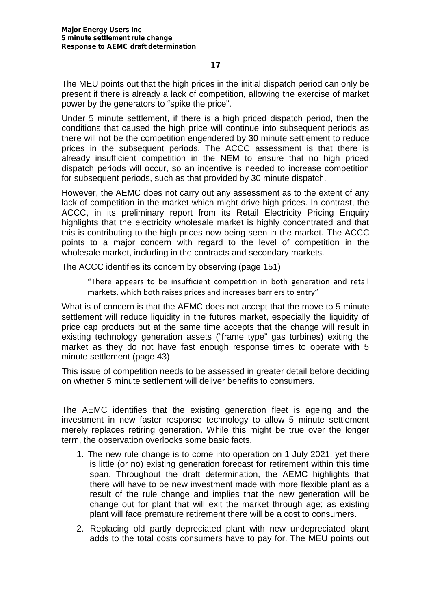The MEU points out that the high prices in the initial dispatch period can only be present if there is already a lack of competition, allowing the exercise of market power by the generators to "spike the price".

Under 5 minute settlement, if there is a high priced dispatch period, then the conditions that caused the high price will continue into subsequent periods as there will not be the competition engendered by 30 minute settlement to reduce prices in the subsequent periods. The ACCC assessment is that there is already insufficient competition in the NEM to ensure that no high priced dispatch periods will occur, so an incentive is needed to increase competition for subsequent periods, such as that provided by 30 minute dispatch.

However, the AEMC does not carry out any assessment as to the extent of any lack of competition in the market which might drive high prices. In contrast, the ACCC, in its preliminary report from its Retail Electricity Pricing Enquiry highlights that the electricity wholesale market is highly concentrated and that this is contributing to the high prices now being seen in the market. The ACCC points to a major concern with regard to the level of competition in the wholesale market, including in the contracts and secondary markets.

The ACCC identifies its concern by observing (page 151)

"There appears to be insufficient competition in both generation and retail markets, which both raises prices and increases barriers to entry"

What is of concern is that the AEMC does not accept that the move to 5 minute settlement will reduce liquidity in the futures market, especially the liquidity of price cap products but at the same time accepts that the change will result in existing technology generation assets ("frame type" gas turbines) exiting the market as they do not have fast enough response times to operate with 5 minute settlement (page 43)

This issue of competition needs to be assessed in greater detail before deciding on whether 5 minute settlement will deliver benefits to consumers.

The AEMC identifies that the existing generation fleet is ageing and the investment in new faster response technology to allow 5 minute settlement merely replaces retiring generation. While this might be true over the longer term, the observation overlooks some basic facts.

- 1. The new rule change is to come into operation on 1 July 2021, yet there is little (or no) existing generation forecast for retirement within this time span. Throughout the draft determination, the AEMC highlights that there will have to be new investment made with more flexible plant as a result of the rule change and implies that the new generation will be change out for plant that will exit the market through age; as existing plant will face premature retirement there will be a cost to consumers.
- 2. Replacing old partly depreciated plant with new undepreciated plant adds to the total costs consumers have to pay for. The MEU points out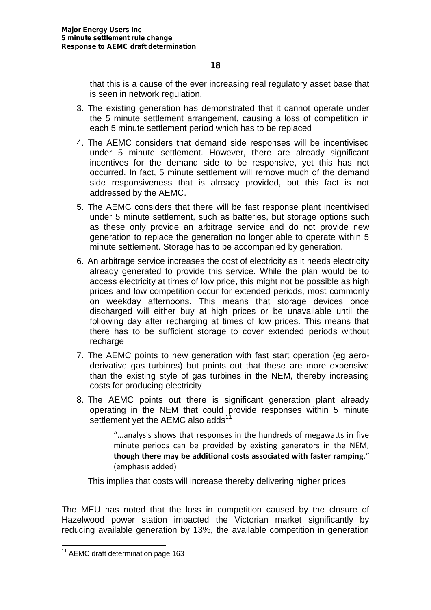that this is a cause of the ever increasing real regulatory asset base that is seen in network regulation.

- 3. The existing generation has demonstrated that it cannot operate under the 5 minute settlement arrangement, causing a loss of competition in each 5 minute settlement period which has to be replaced
- 4. The AEMC considers that demand side responses will be incentivised under 5 minute settlement. However, there are already significant incentives for the demand side to be responsive, yet this has not occurred. In fact, 5 minute settlement will remove much of the demand side responsiveness that is already provided, but this fact is not addressed by the AEMC.
- 5. The AEMC considers that there will be fast response plant incentivised under 5 minute settlement, such as batteries, but storage options such as these only provide an arbitrage service and do not provide new generation to replace the generation no longer able to operate within 5 minute settlement. Storage has to be accompanied by generation.
- 6. An arbitrage service increases the cost of electricity as it needs electricity already generated to provide this service. While the plan would be to access electricity at times of low price, this might not be possible as high prices and low competition occur for extended periods, most commonly on weekday afternoons. This means that storage devices once discharged will either buy at high prices or be unavailable until the following day after recharging at times of low prices. This means that there has to be sufficient storage to cover extended periods without recharge
- 7. The AEMC points to new generation with fast start operation (eg aero derivative gas turbines) but points out that these are more expensive than the existing style of gas turbines in the NEM, thereby increasing costs for producing electricity
- 8. The AEMC points out there is significant generation plant already operating in the NEM that could provide responses within 5 minute settlement yet the AEMC also adds<sup>11</sup>

"...analysis shows that responses in the hundreds of megawatts in five minute periods can be provided by existing generators in the NEM, **though there may be additional costs associated with faster ramping**." (emphasis added)

This implies that costs will increase thereby delivering higher prices

The MEU has noted that the loss in competition caused by the closure of Hazelwood power station impacted the Victorian market significantly by reducing available generation by 13%, the available competition in generation

<sup>&</sup>lt;sup>11</sup> AEMC draft determination page 163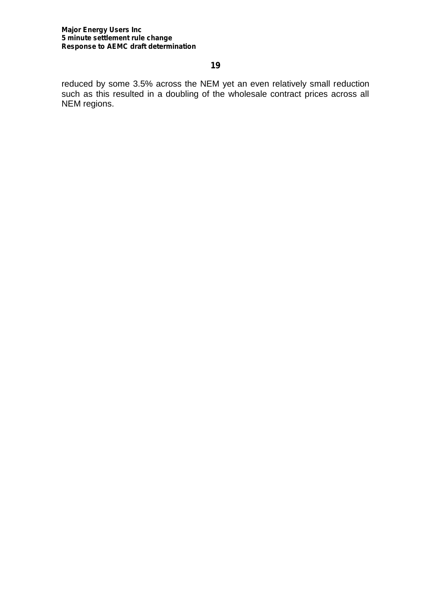#### **Major Energy Users Inc 5 minute settlement rule change Response to AEMC draft determination**

#### **19**

reduced by some 3.5% across the NEM yet an even relatively small reduction such as this resulted in a doubling of the wholesale contract prices across all NEM regions.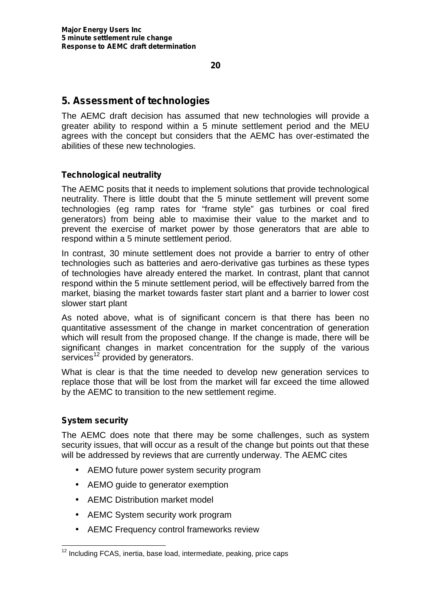### **5. Assessment of technologies**

The AEMC draft decision has assumed that new technologies will provide a greater ability to respond within a 5 minute settlement period and the MEU agrees with the concept but considers that the AEMC has over-estimated the abilities of these new technologies.

#### **Technological neutrality**

The AEMC posits that it needs to implement solutions that provide technological neutrality. There is little doubt that the 5 minute settlement will prevent some technologies (eg ramp rates for "frame style" gas turbines or coal fired generators) from being able to maximise their value to the market and to prevent the exercise of market power by those generators that are able to respond within a 5 minute settlement period.

In contrast, 30 minute settlement does not provide a barrier to entry of other technologies such as batteries and aero-derivative gas turbines as these types of technologies have already entered the market. In contrast, plant that cannot respond within the 5 minute settlement period, will be effectively barred from the market, biasing the market towards faster start plant and a barrier to lower cost slower start plant

As noted above, what is of significant concern is that there has been no quantitative assessment of the change in market concentration of generation which will result from the proposed change. If the change is made, there will be significant changes in market concentration for the supply of the various services<sup>12</sup> provided by generators.

What is clear is that the time needed to develop new generation services to replace those that will be lost from the market will far exceed the time allowed by the AEMC to transition to the new settlement regime.

#### **System security**

The AEMC does note that there may be some challenges, such as system security issues, that will occur as a result of the change but points out that these will be addressed by reviews that are currently underway. The AEMC cites

- AEMO future power system security program
- AEMO guide to generator exemption
- AEMC Distribution market model
- AEMC System security work program
- AEMC Frequency control frameworks review

<sup>&</sup>lt;sup>12</sup> Including FCAS, inertia, base load, intermediate, peaking, price caps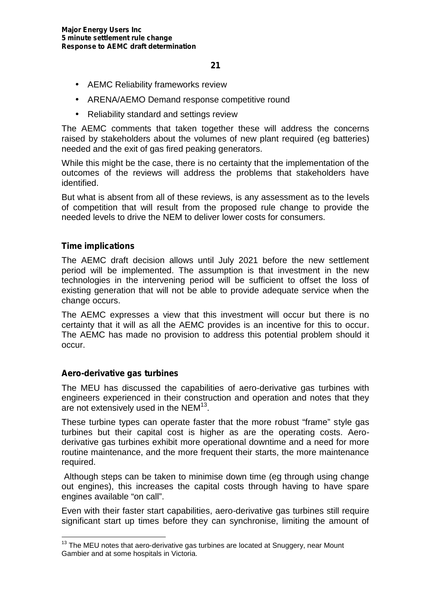- AEMC Reliability frameworks review
- ARENA/AEMO Demand response competitive round
- Reliability standard and settings review

The AEMC comments that taken together these will address the concerns raised by stakeholders about the volumes of new plant required (eg batteries) needed and the exit of gas fired peaking generators.

While this might be the case, there is no certainty that the implementation of the outcomes of the reviews will address the problems that stakeholders have identified.

But what is absent from all of these reviews, is any assessment as to the levels of competition that will result from the proposed rule change to provide the needed levels to drive the NEM to deliver lower costs for consumers.

#### **Time implications**

The AEMC draft decision allows until July 2021 before the new settlement period will be implemented. The assumption is that investment in the new technologies in the intervening period will be sufficient to offset the loss of existing generation that will not be able to provide adequate service when the change occurs.

The AEMC expresses a view that this investment will occur but there is no certainty that it will as all the AEMC provides is an incentive for this to occur. The AEMC has made no provision to address this potential problem should it occur.

#### **Aero-derivative gas turbines**

The MEU has discussed the capabilities of aero-derivative gas turbines with engineers experienced in their construction and operation and notes that they are not extensively used in the NEM<sup>13</sup>.

These turbine types can operate faster that the more robust "frame" style gas turbines but their capital cost is higher as are the operating costs. Aero derivative gas turbines exhibit more operational downtime and a need for more routine maintenance, and the more frequent their starts, the more maintenance required.

Although steps can be taken to minimise down time (eg through using change out engines), this increases the capital costs through having to have spare engines available "on call".

Even with their faster start capabilities, aero-derivative gas turbines still require significant start up times before they can synchronise, limiting the amount of

<sup>&</sup>lt;sup>13</sup> The MEU notes that aero-derivative gas turbines are located at Snuggery, near Mount Gambier and at some hospitals in Victoria.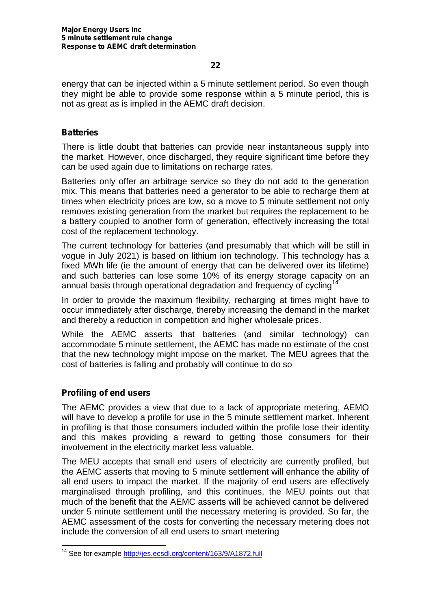energy that can be injected within a 5 minute settlement period. So even though they might be able to provide some response within a 5 minute period, this is not as great as is implied in the AEMC draft decision.

#### **Batteries**

There is little doubt that batteries can provide near instantaneous supply into the market. However, once discharged, they require significant time before they can be used again due to limitations on recharge rates.

Batteries only offer an arbitrage service so they do not add to the generation mix. This means that batteries need a generator to be able to recharge them at times when electricity prices are low, so a move to 5 minute settlement not only removes existing generation from the market but requires the replacement to be a battery coupled to another form of generation, effectively increasing the total cost of the replacement technology.

The current technology for batteries (and presumably that which will be still in vogue in July 2021) is based on lithium ion technology. This technology has a fixed MWh life (ie the amount of energy that can be delivered over its lifetime) and such batteries can lose some 10% of its energy storage capacity on an annual basis through operational degradation and frequency of cycling<sup>14</sup>

In order to provide the maximum flexibility, recharging at times might have to occur immediately after discharge, thereby increasing the demand in the market and thereby a reduction in competition and higher wholesale prices.

While the AEMC asserts that batteries (and similar technology) can accommodate 5 minute settlement, the AEMC has made no estimate of the cost that the new technology might impose on the market. The MEU agrees that the cost of batteries is falling and probably will continue to do so

#### **Profiling of end users**

The AEMC provides a view that due to a lack of appropriate metering, AEMO will have to develop a profile for use in the 5 minute settlement market. Inherent in profiling is that those consumers included within the profile lose their identity and this makes providing a reward to getting those consumers for their involvement in the electricity market less valuable.

The MEU accepts that small end users of electricity are currently profiled, but the AEMC asserts that moving to 5 minute settlement will enhance the ability of all end users to impact the market. If the majority of end users are effectively marginalised through profiling, and this continues, the MEU points out that much of the benefit that the AEMC asserts will be achieved cannot be delivered under 5 minute settlement until the necessary metering is provided. So far, the AEMC assessment of the costs for converting the necessary metering does not include the conversion of all end users to smart metering

<sup>&</sup>lt;sup>14</sup> See for example http://jes.ecsdl.org/content/163/9/A1872.full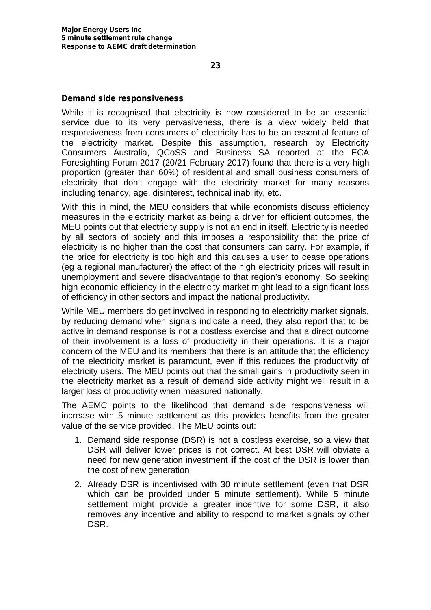#### **Demand side responsiveness**

While it is recognised that electricity is now considered to be an essential service due to its very pervasiveness, there is a view widely held that responsiveness from consumers of electricity has to be an essential feature of the electricity market. Despite this assumption, research by Electricity Consumers Australia, QCoSS and Business SA reported at the ECA Foresighting Forum 2017 (20/21 February 2017) found that there is a very high proportion (greater than 60%) of residential and small business consumers of electricity that don't engage with the electricity market for many reasons including tenancy, age, disinterest, technical inability, etc.

With this in mind, the MEU considers that while economists discuss efficiency measures in the electricity market as being a driver for efficient outcomes, the MEU points out that electricity supply is not an end in itself. Electricity is needed by all sectors of society and this imposes a responsibility that the price of electricity is no higher than the cost that consumers can carry. For example, if the price for electricity is too high and this causes a user to cease operations (eg a regional manufacturer) the effect of the high electricity prices will result in unemployment and severe disadvantage to that region's economy. So seeking high economic efficiency in the electricity market might lead to a significant loss of efficiency in other sectors and impact the national productivity.

While MEU members do get involved in responding to electricity market signals, by reducing demand when signals indicate a need, they also report that to be active in demand response is not a costless exercise and that a direct outcome of their involvement is a loss of productivity in their operations. It is a major concern of the MEU and its members that there is an attitude that the efficiency of the electricity market is paramount, even if this reduces the productivity of electricity users. The MEU points out that the small gains in productivity seen in the electricity market as a result of demand side activity might well result in a larger loss of productivity when measured nationally.

The AEMC points to the likelihood that demand side responsiveness will increase with 5 minute settlement as this provides benefits from the greater value of the service provided. The MEU points out:

- 1. Demand side response (DSR) is not a costless exercise, so a view that DSR will deliver lower prices is not correct. At best DSR will obviate a need for new generation investment **if** the cost of the DSR is lower than the cost of new generation
- 2. Already DSR is incentivised with 30 minute settlement (even that DSR which can be provided under 5 minute settlement). While 5 minute settlement might provide a greater incentive for some DSR, it also removes any incentive and ability to respond to market signals by other DSR.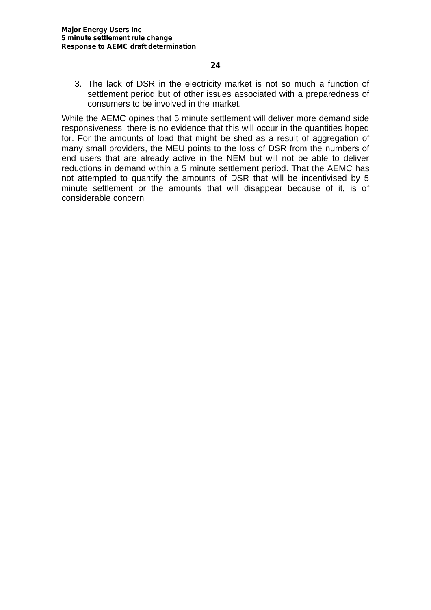3. The lack of DSR in the electricity market is not so much a function of settlement period but of other issues associated with a preparedness of consumers to be involved in the market.

While the AEMC opines that 5 minute settlement will deliver more demand side responsiveness, there is no evidence that this will occur in the quantities hoped for. For the amounts of load that might be shed as a result of aggregation of many small providers, the MEU points to the loss of DSR from the numbers of end users that are already active in the NEM but will not be able to deliver reductions in demand within a 5 minute settlement period. That the AEMC has not attempted to quantify the amounts of DSR that will be incentivised by 5 minute settlement or the amounts that will disappear because of it, is of considerable concern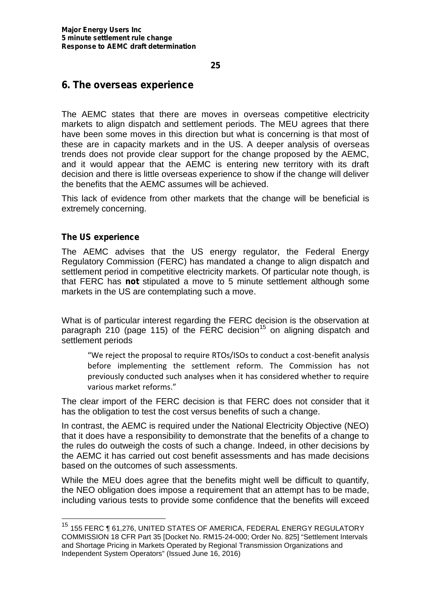#### **6. The overseas experience**

The AEMC states that there are moves in overseas competitive electricity markets to align dispatch and settlement periods. The MEU agrees that there have been some moves in this direction but what is concerning is that most of these are in capacity markets and in the US. A deeper analysis of overseas trends does not provide clear support for the change proposed by the AEMC, and it would appear that the AEMC is entering new territory with its draft decision and there is little overseas experience to show if the change will deliver the benefits that the AEMC assumes will be achieved.

This lack of evidence from other markets that the change will be beneficial is extremely concerning.

#### **The US experience**

The AEMC advises that the US energy regulator, the Federal Energy Regulatory Commission (FERC) has mandated a change to align dispatch and settlement period in competitive electricity markets. Of particular note though, is that FERC has **not** stipulated a move to 5 minute settlement although some markets in the US are contemplating such a move.

What is of particular interest regarding the FERC decision is the observation at paragraph 210 (page 115) of the FERC decision<sup>15</sup> on aligning dispatch and settlement periods

"We reject the proposal to require RTOs/ISOs to conduct a cost-benefit analysis before implementing the settlement reform. The Commission has not previously conducted such analyses when it has considered whether to require various market reforms."

The clear import of the FERC decision is that FERC does not consider that it has the obligation to test the cost versus benefits of such a change.

In contrast, the AEMC is required under the National Electricity Objective (NEO) that it does have a responsibility to demonstrate that the benefits of a change to the rules do outweigh the costs of such a change. Indeed, in other decisions by the AEMC it has carried out cost benefit assessments and has made decisions based on the outcomes of such assessments.

While the MEU does agree that the benefits might well be difficult to quantify, the NEO obligation does impose a requirement that an attempt has to be made, including various tests to provide some confidence that the benefits will exceed

<sup>&</sup>lt;sup>15</sup> 155 FERC ¶ 61,276, UNITED STATES OF AMERICA, FEDERAL ENERGY REGULATORY COMMISSION 18 CFR Part 35 [Docket No. RM15-24-000; Order No. 825] "Settlement Intervals and Shortage Pricing in Markets Operated by Regional Transmission Organizations and Independent System Operators" (Issued June 16, 2016)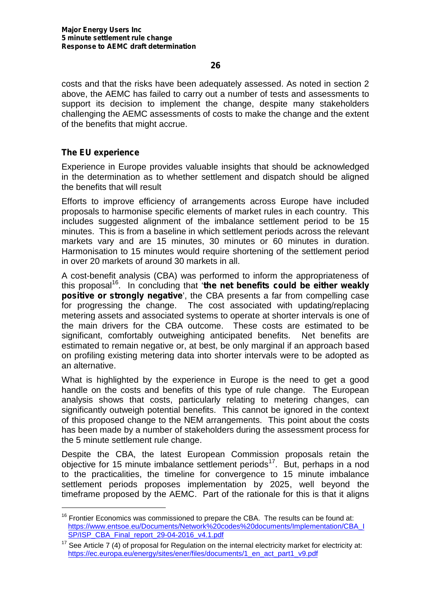costs and that the risks have been adequately assessed. As noted in section 2 above, the AEMC has failed to carry out a number of tests and assessments to support its decision to implement the change, despite many stakeholders challenging the AEMC assessments of costs to make the change and the extent of the benefits that might accrue.

#### **The EU experience**

Experience in Europe provides valuable insights that should be acknowledged in the determination as to whether settlement and dispatch should be aligned the benefits that will result

Efforts to improve efficiency of arrangements across Europe have included proposals to harmonise specific elements of market rules in each country. This includes suggested alignment of the imbalance settlement period to be 15 minutes. This is from a baseline in which settlement periods across the relevant markets vary and are 15 minutes, 30 minutes or 60 minutes in duration. Harmonisation to 15 minutes would require shortening of the settlement period in over 20 markets of around 30 markets in all.

A cost-benefit analysis (CBA) was performed to inform the appropriateness of this proposal<sup>16</sup>. In concluding that 'the net benefits could be either weakly **positive or strongly negative**', the CBA presents a far from compelling case for progressing the change. The cost associated with updating/replacing metering assets and associated systems to operate at shorter intervals is one of the main drivers for the CBA outcome. These costs are estimated to be significant, comfortably outweighing anticipated benefits. Net benefits are estimated to remain negative or, at best, be only marginal if an approach based on profiling existing metering data into shorter intervals were to be adopted as an alternative.

What is highlighted by the experience in Europe is the need to get a good handle on the costs and benefits of this type of rule change. The European analysis shows that costs, particularly relating to metering changes, can significantly outweigh potential benefits. This cannot be ignored in the context of this proposed change to the NEM arrangements. This point about the costs has been made by a number of stakeholders during the assessment process for the 5 minute settlement rule change.

Despite the CBA, the latest European Commission proposals retain the objective for 15 minute imbalance settlement periods<sup>17</sup>. But, perhaps in a nod to the practicalities, the timeline for convergence to 15 minute imbalance settlement periods proposes implementation by 2025, well beyond the timeframe proposed by the AEMC. Part of the rationale for this is that it aligns

 $16$  Frontier Economics was commissioned to prepare the CBA. The results can be found at: https://www.entsoe.eu/Documents/Network%20codes%20documents/Implementation/CBA\_I SP/ISP\_CBA\_Final\_report\_29-04-2016\_v4.1.pdf

 $17$  See Article 7 (4) of proposal for Regulation on the internal electricity market for electricity at: https://ec.europa.eu/energy/sites/ener/files/documents/1\_en\_act\_part1\_v9.pdf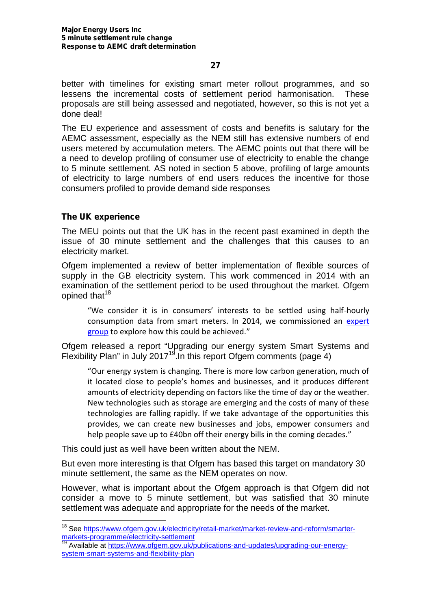better with timelines for existing smart meter rollout programmes, and so lessens the incremental costs of settlement period harmonisation. These proposals are still being assessed and negotiated, however, so this is not yet a done deal!

The EU experience and assessment of costs and benefits is salutary for the AEMC assessment, especially as the NEM still has extensive numbers of end users metered by accumulation meters. The AEMC points out that there will be a need to develop profiling of consumer use of electricity to enable the change to 5 minute settlement. AS noted in section 5 above, profiling of large amounts of electricity to large numbers of end users reduces the incentive for those consumers profiled to provide demand side responses

#### **The UK experience**

The MEU points out that the UK has in the recent past examined in depth the issue of 30 minute settlement and the challenges that this causes to an electricity market.

Ofgem implemented a review of better implementation of flexible sources of supply in the GB electricity system. This work commenced in 2014 with an examination of the settlement period to be used throughout the market. Ofgem opined that<sup>18</sup>

"We consider it is in consumers' interests to be settled using half-hourly consumption data from smart meters. In 2014, we commissioned an expert group to explore how this could be achieved."

Ofgem released a report "Upgrading our energy system Smart Systems and Flexibility Plan" in July 2017<sup>19</sup>. In this report Ofgem comments (page 4)

"Our energy system is changing. There is more low carbon generation, much of it located close to people's homes and businesses, and it produces different amounts of electricity depending on factors like the time of day or the weather. New technologies such as storage are emerging and the costs of many of these technologies are falling rapidly. If we take advantage of the opportunities this provides, we can create new businesses and jobs, empower consumers and help people save up to £40bn off their energy bills in the coming decades."

This could just as well have been written about the NEM.

But even more interesting is that Ofgem has based this target on mandatory 30 minute settlement, the same as the NEM operates on now.

However, what is important about the Ofgem approach is that Ofgem did not consider a move to 5 minute settlement, but was satisfied that 30 minute settlement was adequate and appropriate for the needs of the market.

<sup>&</sup>lt;sup>18</sup> See https://www.ofgem.gov.uk/electricity/retail-market/market-review-and-reform/smartermarkets-programme/electricity-settlement

<sup>&</sup>lt;sup>2</sup> Available at https://www.ofgem.gov.uk/publications-and-updates/upgrading-our-energysystem-smart-systems-and-flexibility-plan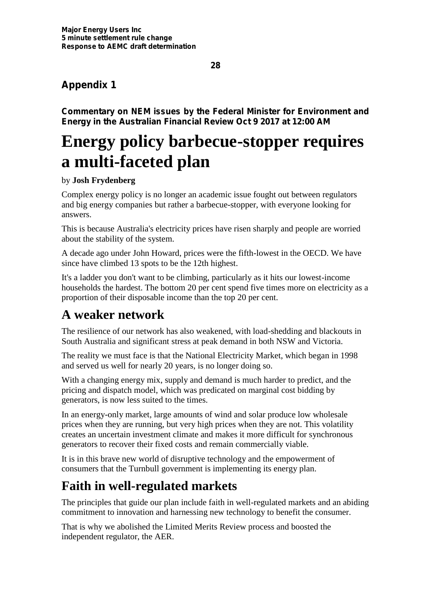### **Appendix 1**

**Commentary on NEM issues by the Federal Minister for Environment and Energy in the Australian Financial Review Oct 9 2017 at 12:00 AM**

# **Energy policy barbecue-stopper requires a multi-faceted plan**

#### by **Josh Frydenberg**

Complex energy policy is no longer an academic issue fought out between regulators and big energy companies but rather a barbecue-stopper, with everyone looking for answers.

This is because Australia's electricity prices have risen sharply and people are worried about the stability of the system.

A decade ago under John Howard, prices were the fifth-lowest in the OECD. We have since have climbed 13 spots to be the 12th highest.

It's a ladder you don't want to be climbing, particularly as it hits our lowest-income households the hardest. The bottom 20 per cent spend five times more on electricity as a proportion of their disposable income than the top 20 per cent.

## **A weaker network**

The resilience of our network has also weakened, with load-shedding and blackouts in South Australia and significant stress at peak demand in both NSW and Victoria.

The reality we must face is that the National Electricity Market, which began in 1998 and served us well for nearly 20 years, is no longer doing so.

With a changing energy mix, supply and demand is much harder to predict, and the pricing and dispatch model, which was predicated on marginal cost bidding by generators, is now less suited to the times.

In an energy-only market, large amounts of wind and solar produce low wholesale prices when they are running, but very high prices when they are not. This volatility creates an uncertain investment climate and makes it more difficult for synchronous generators to recover their fixed costs and remain commercially viable.

It is in this brave new world of disruptive technology and the empowerment of consumers that the Turnbull government is implementing its energy plan.

# **Faith in well-regulated markets**

The principles that guide our plan include faith in well-regulated markets and an abiding commitment to innovation and harnessing new technology to benefit the consumer.

That is why we abolished the Limited Merits Review process and boosted the independent regulator, the AER.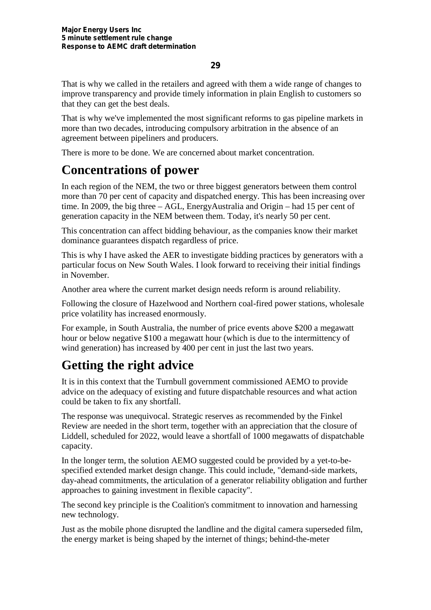That is why we called in the retailers and agreed with them a wide range of changes to improve transparency and provide timely information in plain English to customers so that they can get the best deals.

That is why we've implemented the most significant reforms to gas pipeline markets in more than two decades, introducing compulsory arbitration in the absence of an agreement between pipeliners and producers.

There is more to be done. We are concerned about market concentration.

## **Concentrations of power**

In each region of the NEM, the two or three biggest generators between them control more than 70 per cent of capacity and dispatched energy. This has been increasing over time. In 2009, the big three – AGL, EnergyAustralia and Origin – had 15 per cent of generation capacity in the NEM between them. Today, it's nearly 50 per cent.

This concentration can affect bidding behaviour, as the companies know their market dominance guarantees dispatch regardless of price.

This is why I have asked the AER to investigate bidding practices by generators with a particular focus on New South Wales. I look forward to receiving their initial findings in November.

Another area where the current market design needs reform is around reliability.

Following the closure of Hazelwood and Northern coal-fired power stations, wholesale price volatility has increased enormously.

For example, in South Australia, the number of price events above \$200 a megawatt hour or below negative \$100 a megawatt hour (which is due to the intermittency of wind generation) has increased by 400 per cent in just the last two years.

# **Getting the right advice**

It is in this context that the Turnbull government commissioned AEMO to provide advice on the adequacy of existing and future dispatchable resources and what action could be taken to fix any shortfall.

The response was unequivocal. Strategic reserves as recommended by the Finkel Review are needed in the short term, together with an appreciation that the closure of Liddell, scheduled for 2022, would leave a shortfall of 1000 megawatts of dispatchable capacity.

In the longer term, the solution AEMO suggested could be provided by a yet-to-be specified extended market design change. This could include, "demand-side markets, day-ahead commitments, the articulation of a generator reliability obligation and further approaches to gaining investment in flexible capacity".

The second key principle is the Coalition's commitment to innovation and harnessing new technology.

Just as the mobile phone disrupted the landline and the digital camera superseded film, the energy market is being shaped by the internet of things; behind-the-meter